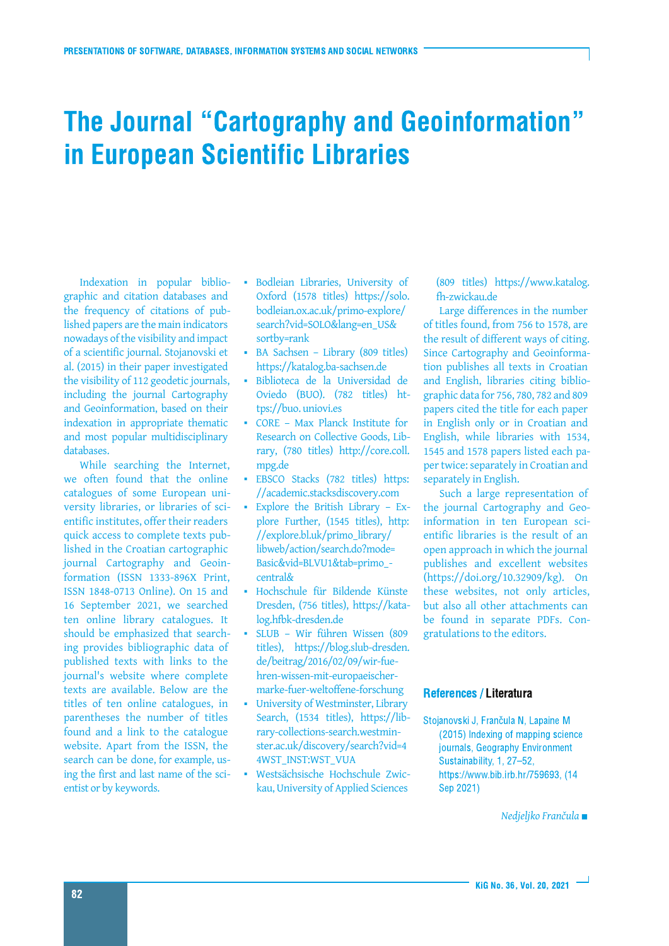## The Journal "Cartography and Geoinformation" in European Scientific Libraries

Indexation in popular bibliographic and citation databases and the frequency of citations of published papers are the main indicators nowadays of the visibility and impact of a scientific journal. Stojanovski et al. (2015) in their paper investigated the visibility of 112 geodetic journals, including the journal Cartography and Geoinformation, based on their indexation in appropriate thematic and most popular multidisciplinary databases.

While searching the Internet, we often found that the online catalogues of some European university libraries, or libraries of scientific institutes, offer their readers quick access to complete texts published in the Croatian cartographic journal Cartography and Geoinformation (ISSN 1333-896X Print, ISSN 1848-0713 Online). On 15 and 16 September 2021, we searched ten online library catalogues. It should be emphasized that searching provides bibliographic data of published texts with links to the journal's website where complete texts are available. Below are the titles of ten online catalogues, in parentheses the number of titles found and a link to the catalogue website. Apart from the ISSN, the search can be done, for example, using the first and last name of the scientist or by keywords.

- Bodleian Libraries, University of Oxford (1578 titles) https://solo. bodleian.ox.ac.uk/primo-explore/ search?vid=SOLO&lang=en\_US& sortby=rank
- BA Sachsen Library (809 titles) https://katalog.ba-sachsen.de
- Biblioteca de la Universidad de Oviedo (BUO). (782 titles) https://buo. uniovi.es
- a. CORE – Max Planck Institute for Research on Collective Goods, Library, (780 titles) http://core.coll. mpg.de
- EBSCO Stacks (782 titles) https: //academic.stacksdiscovery.com
- Explore the British Library Explore Further, (1545 titles), http: //explore.bl.uk/primo\_library/ libweb/action/search.do?mode= Basic&vid=BLVU1&tab=primo\_ central&
- Hochschule für Bildende Künste Dresden, (756 titles), https://katalog.hfbk-dresden.de
- SLUB Wir führen Wissen (809 titles), https://blog.slub-dresden. de/beitrag/2016/02/09/wir-fuehren-wissen-mit-europaeischermarke-fuer-weltoffene-forschung
- University of Westminster, Library Search, (1534 titles), https://library-collections-search.westminster.ac.uk/discovery/search?vid=4 4WST\_INST:WST\_VUA
- Westsächsische Hochschule Zwickau,University of Applied Sciences

(809 titles) https://www.katalog. fh-zwickau.de

Large differences in the number of titles found, from 756 to 1578, are the result of different ways of citing. Since Cartography and Geoinformation publishes all texts in Croatian and English, libraries citing bibliographic data for 756, 780, 782 and 809 papers cited the title for each paper in English only or in Croatian and English, while libraries with 1534, 1545 and 1578 papers listed each paper twice: separately in Croatian and separately in English.

Such a large representation of the journal Cartography and Geoinformation in ten European scientific libraries is the result of an open approach in which the journal publishes and excellent websites (https://doi.org/10.32909/kg). On these websites, not only articles, but also all other attachments can be found in separate PDFs. Congratulations to the editors.

## References / Literatura

Stojanovski J, Frančula N, Lapaine M (2015) Indexing of mapping science journals, Geography Environment Sustainability, 1, 27-52, https://www.bib.irb.hr/759693, (14 Sep 2021)

*Nedjeljko Frančula*